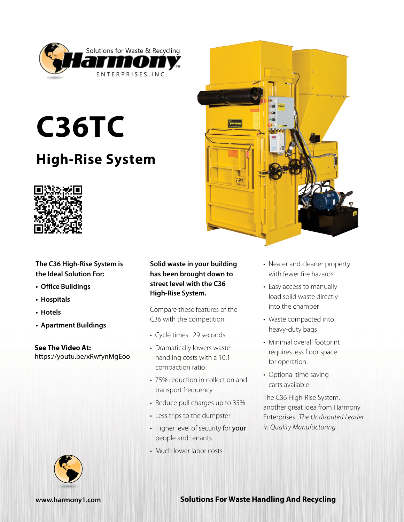

## **C36TC**

## **High-Rise System**



**The C36 High-Rise System is the Ideal Solution For:**

- **• Office Buildings**
- **• Hospitals**
- **• Hotels**
- **• Apartment Buildings**

**See The Video At:** https://youtu.be/xRwfynMgEoo



Compare these features of the C36 with the competition:

- Cycle times: 29 seconds
- Dramatically lowers waste handling costs with a 10:1 compaction ratio
- 75% reduction in collection and transport frequency
- Reduce pull charges up to 35%
- Less trips to the dumpster
- Higher level of security for your people and tenants
- Much lower labor costs



- Neater and cleaner property with fewer fire hazards
- Easy access to manually load solid waste directly into the chamber
- Waste compacted into heavy-duty bags
- Minimal overall footprint requires less floor space for operation
- Optional time saving carts available

The C36 High-Rise System, another great idea from Harmony Enterprises...*The Undisputed Leader in Quality Manufacturing.*



## **[www.harmony1.com](http://www.harmony1.com) Solutions For Waste Handling And Recycling**